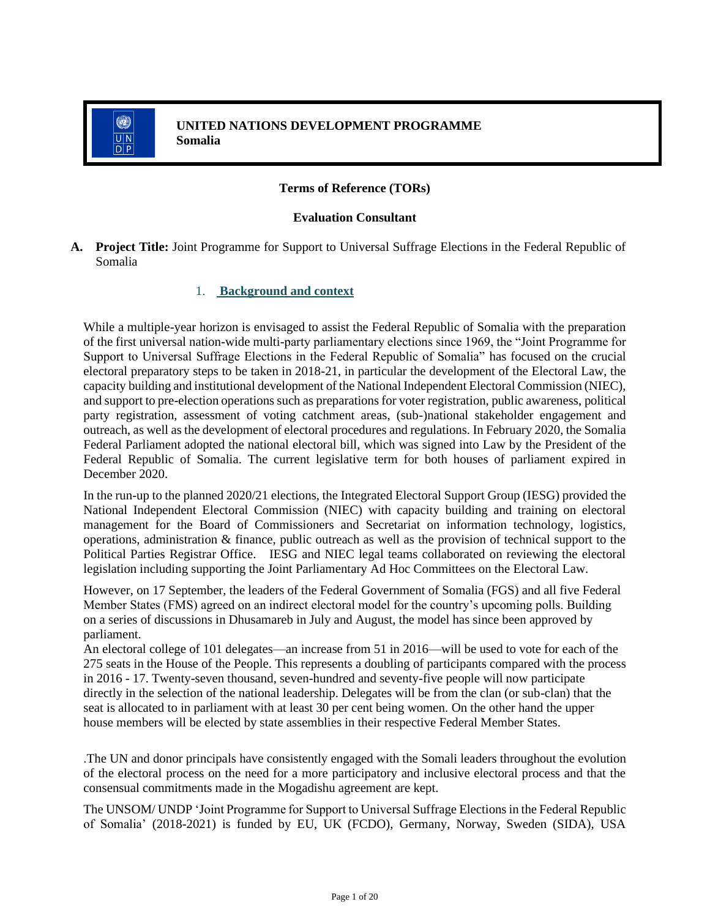

### **Terms of Reference (TORs)**

#### **Evaluation Consultant**

**A. Project Title:** Joint Programme for Support to Universal Suffrage Elections in the Federal Republic of Somalia

#### 1. **Background and context**

While a multiple-year horizon is envisaged to assist the Federal Republic of Somalia with the preparation of the first universal nation-wide multi-party parliamentary elections since 1969, the "Joint Programme for Support to Universal Suffrage Elections in the Federal Republic of Somalia" has focused on the crucial electoral preparatory steps to be taken in 2018-21, in particular the development of the Electoral Law, the capacity building and institutional development of the National Independent Electoral Commission (NIEC), and support to pre-election operations such as preparations for voter registration, public awareness, political party registration, assessment of voting catchment areas, (sub-)national stakeholder engagement and outreach, as well as the development of electoral procedures and regulations. In February 2020, the Somalia Federal Parliament adopted the national electoral bill, which was signed into Law by the President of the Federal Republic of Somalia. The current legislative term for both houses of parliament expired in December 2020.

In the run-up to the planned 2020/21 elections, the Integrated Electoral Support Group (IESG) provided the National Independent Electoral Commission (NIEC) with capacity building and training on electoral management for the Board of Commissioners and Secretariat on information technology, logistics, operations, administration & finance, public outreach as well as the provision of technical support to the Political Parties Registrar Office. IESG and NIEC legal teams collaborated on reviewing the electoral legislation including supporting the Joint Parliamentary Ad Hoc Committees on the Electoral Law.

However, on 17 September, the leaders of the Federal Government of Somalia (FGS) and all five Federal Member States (FMS) agreed on an indirect electoral model for the country's upcoming polls. Building on a series of discussions in Dhusamareb in July and August, the model has since been approved by parliament.

An electoral college of 101 delegates—an increase from 51 in 2016—will be used to vote for each of the 275 seats in the House of the People. This represents a doubling of participants compared with the process in 2016 - 17. Twenty-seven thousand, seven-hundred and seventy-five people will now participate directly in the selection of the national leadership. Delegates will be from the clan (or sub-clan) that the seat is allocated to in parliament with at least 30 per cent being women. On the other hand the upper house members will be elected by state assemblies in their respective Federal Member States.

.The UN and donor principals have consistently engaged with the Somali leaders throughout the evolution of the electoral process on the need for a more participatory and inclusive electoral process and that the consensual commitments made in the Mogadishu agreement are kept.

The UNSOM/ UNDP 'Joint Programme for Support to Universal Suffrage Elections in the Federal Republic of Somalia' (2018-2021) is funded by EU, UK (FCDO), Germany, Norway, Sweden (SIDA), USA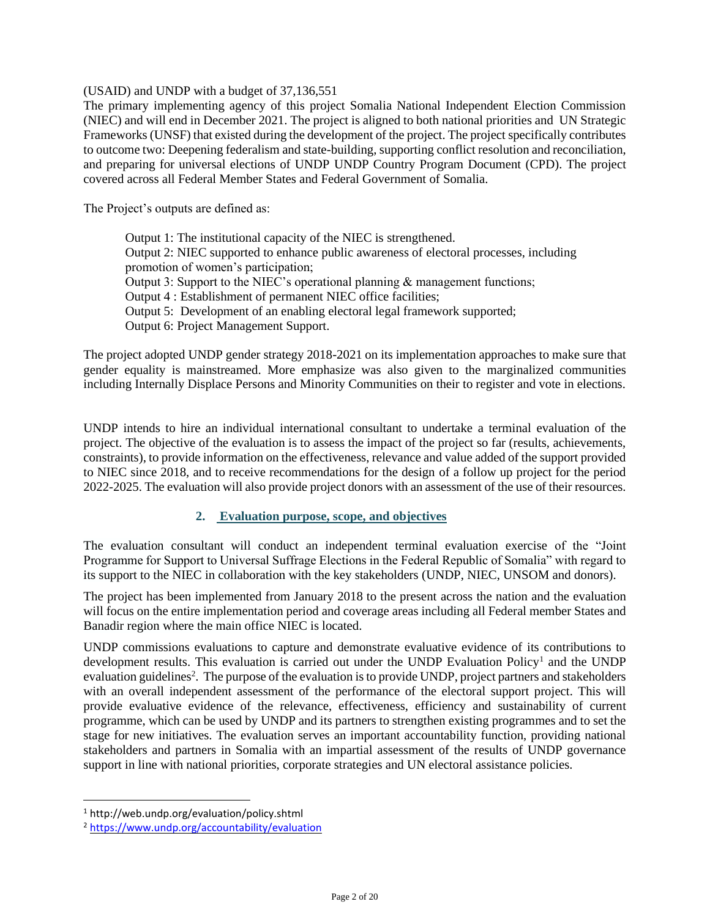(USAID) and UNDP with a budget of 37,136,551

The primary implementing agency of this project Somalia National Independent Election Commission (NIEC) and will end in December 2021. The project is aligned to both national priorities and UN Strategic Frameworks (UNSF) that existed during the development of the project. The project specifically contributes to outcome two: Deepening federalism and state-building, supporting conflict resolution and reconciliation, and preparing for universal elections of UNDP UNDP Country Program Document (CPD). The project covered across all Federal Member States and Federal Government of Somalia.

The Project's outputs are defined as:

Output 1: The institutional capacity of the NIEC is strengthened. Output 2: NIEC supported to enhance public awareness of electoral processes, including promotion of women's participation; Output 3: Support to the NIEC's operational planning  $\&$  management functions; Output 4 : Establishment of permanent NIEC office facilities; Output 5: Development of an enabling electoral legal framework supported; Output 6: Project Management Support.

The project adopted UNDP gender strategy 2018-2021 on its implementation approaches to make sure that gender equality is mainstreamed. More emphasize was also given to the marginalized communities including Internally Displace Persons and Minority Communities on their to register and vote in elections.

UNDP intends to hire an individual international consultant to undertake a terminal evaluation of the project. The objective of the evaluation is to assess the impact of the project so far (results, achievements, constraints), to provide information on the effectiveness, relevance and value added of the support provided to NIEC since 2018, and to receive recommendations for the design of a follow up project for the period 2022-2025. The evaluation will also provide project donors with an assessment of the use of their resources.

### **2. Evaluation purpose, scope, and objectives**

The evaluation consultant will conduct an independent terminal evaluation exercise of the "Joint Programme for Support to Universal Suffrage Elections in the Federal Republic of Somalia" with regard to its support to the NIEC in collaboration with the key stakeholders (UNDP, NIEC, UNSOM and donors).

The project has been implemented from January 2018 to the present across the nation and the evaluation will focus on the entire implementation period and coverage areas including all Federal member States and Banadir region where the main office NIEC is located.

UNDP commissions evaluations to capture and demonstrate evaluative evidence of its contributions to development results. This evaluation is carried out under the UNDP Evaluation Policy<sup>1</sup> and the UNDP evaluation guidelines<sup>2</sup>. The purpose of the evaluation is to provide UNDP, project partners and stakeholders with an overall independent assessment of the performance of the electoral support project. This will provide evaluative evidence of the relevance, effectiveness, efficiency and sustainability of current programme, which can be used by UNDP and its partners to strengthen existing programmes and to set the stage for new initiatives. The evaluation serves an important accountability function, providing national stakeholders and partners in Somalia with an impartial assessment of the results of UNDP governance support in line with national priorities, corporate strategies and UN electoral assistance policies.

<sup>1</sup> http://web.undp.org/evaluation/policy.shtml

<sup>2</sup> <https://www.undp.org/accountability/evaluation>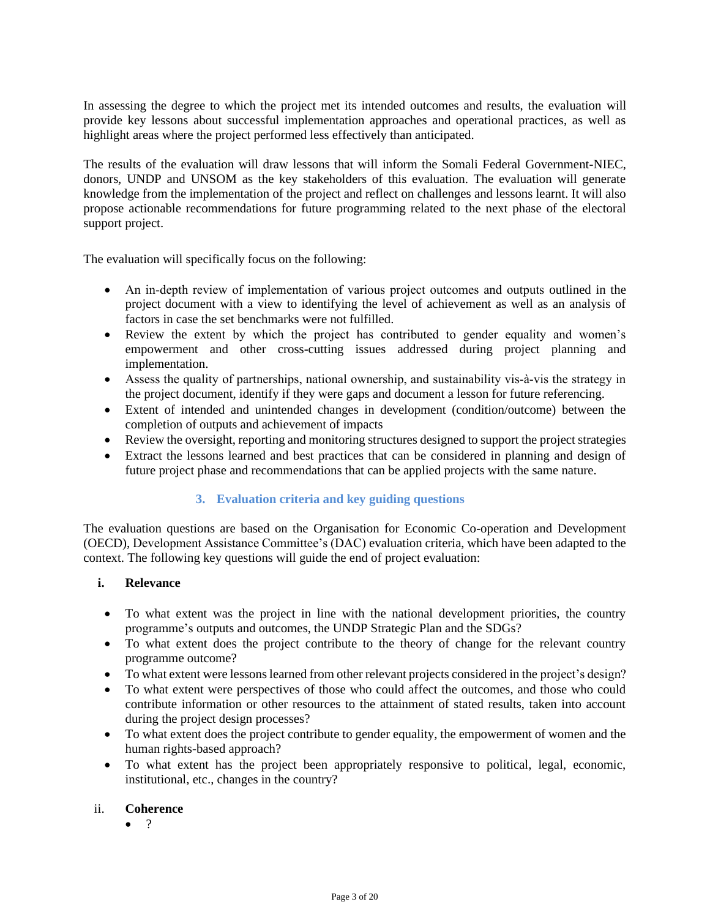In assessing the degree to which the project met its intended outcomes and results, the evaluation will provide key lessons about successful implementation approaches and operational practices, as well as highlight areas where the project performed less effectively than anticipated.

The results of the evaluation will draw lessons that will inform the Somali Federal Government-NIEC, donors, UNDP and UNSOM as the key stakeholders of this evaluation. The evaluation will generate knowledge from the implementation of the project and reflect on challenges and lessons learnt. It will also propose actionable recommendations for future programming related to the next phase of the electoral support project.

The evaluation will specifically focus on the following:

- An in-depth review of implementation of various project outcomes and outputs outlined in the project document with a view to identifying the level of achievement as well as an analysis of factors in case the set benchmarks were not fulfilled.
- Review the extent by which the project has contributed to gender equality and women's empowerment and other cross-cutting issues addressed during project planning and implementation.
- Assess the quality of partnerships, national ownership, and sustainability vis-à-vis the strategy in the project document, identify if they were gaps and document a lesson for future referencing.
- Extent of intended and unintended changes in development (condition/outcome) between the completion of outputs and achievement of impacts
- Review the oversight, reporting and monitoring structures designed to support the project strategies
- Extract the lessons learned and best practices that can be considered in planning and design of future project phase and recommendations that can be applied projects with the same nature.

### **3. Evaluation criteria and key guiding questions**

The evaluation questions are based on the Organisation for Economic Co-operation and Development (OECD), Development Assistance Committee's (DAC) evaluation criteria, which have been adapted to the context. The following key questions will guide the end of project evaluation:

### **i. Relevance**

- To what extent was the project in line with the national development priorities, the country programme's outputs and outcomes, the UNDP Strategic Plan and the SDGs?
- To what extent does the project contribute to the theory of change for the relevant country programme outcome?
- To what extent were lessons learned from other relevant projects considered in the project's design?
- To what extent were perspectives of those who could affect the outcomes, and those who could contribute information or other resources to the attainment of stated results, taken into account during the project design processes?
- To what extent does the project contribute to gender equality, the empowerment of women and the human rights-based approach?
- To what extent has the project been appropriately responsive to political, legal, economic, institutional, etc., changes in the country?

### ii. **Coherence**

• ?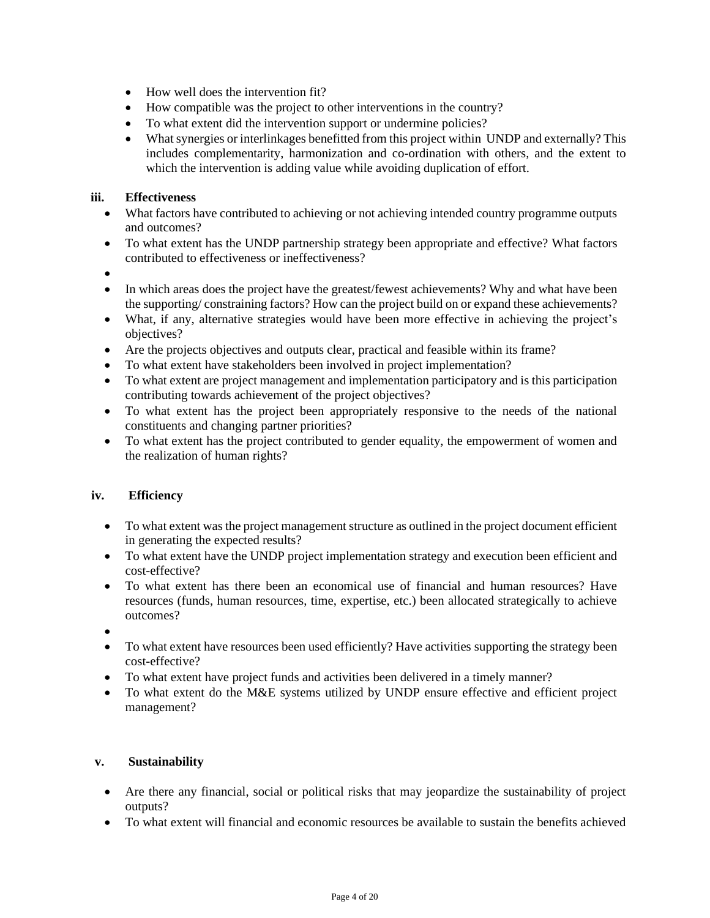- How well does the intervention fit?
- How compatible was the project to other interventions in the country?
- To what extent did the intervention support or undermine policies?
- What synergies or interlinkages benefitted from this project within UNDP and externally? This includes complementarity, harmonization and co-ordination with others, and the extent to which the intervention is adding value while avoiding duplication of effort.

## **iii. Effectiveness**

- What factors have contributed to achieving or not achieving intended country programme outputs and outcomes?
- To what extent has the UNDP partnership strategy been appropriate and effective? What factors contributed to effectiveness or ineffectiveness?
- •
- In which areas does the project have the greatest/fewest achievements? Why and what have been the supporting/ constraining factors? How can the project build on or expand these achievements?
- What, if any, alternative strategies would have been more effective in achieving the project's objectives?
- Are the projects objectives and outputs clear, practical and feasible within its frame?
- To what extent have stakeholders been involved in project implementation?
- To what extent are project management and implementation participatory and is this participation contributing towards achievement of the project objectives?
- To what extent has the project been appropriately responsive to the needs of the national constituents and changing partner priorities?
- To what extent has the project contributed to gender equality, the empowerment of women and the realization of human rights?

### **iv. Efficiency**

- To what extent was the project management structure as outlined in the project document efficient in generating the expected results?
- To what extent have the UNDP project implementation strategy and execution been efficient and cost-effective?
- To what extent has there been an economical use of financial and human resources? Have resources (funds, human resources, time, expertise, etc.) been allocated strategically to achieve outcomes?
- •
- To what extent have resources been used efficiently? Have activities supporting the strategy been cost-effective?
- To what extent have project funds and activities been delivered in a timely manner?
- To what extent do the M&E systems utilized by UNDP ensure effective and efficient project management?

### **v. Sustainability**

- Are there any financial, social or political risks that may jeopardize the sustainability of project outputs?
- To what extent will financial and economic resources be available to sustain the benefits achieved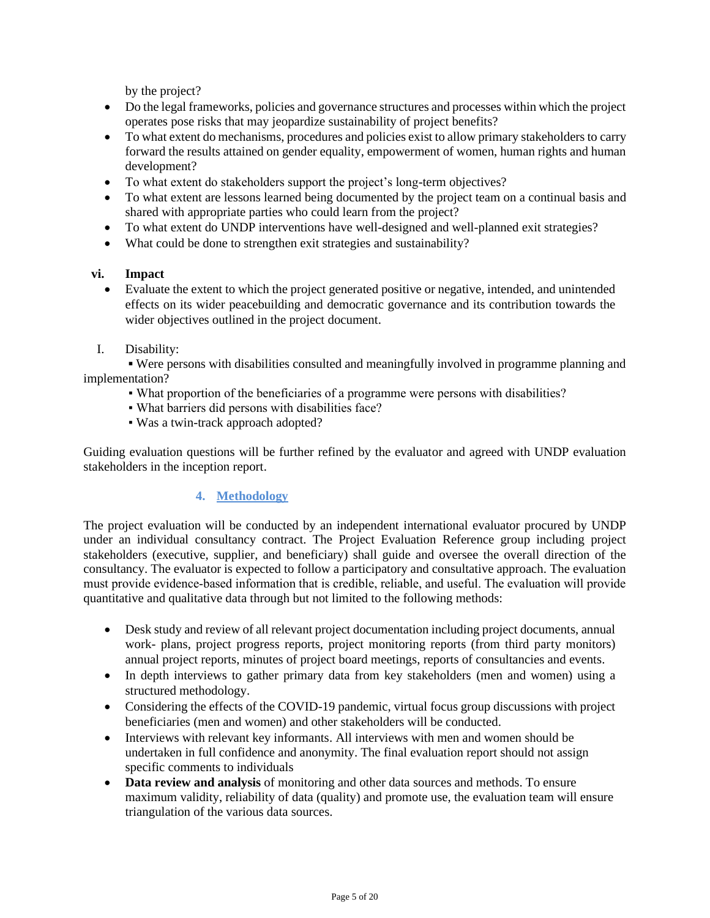by the project?

- Do the legal frameworks, policies and governance structures and processes within which the project operates pose risks that may jeopardize sustainability of project benefits?
- To what extent do mechanisms, procedures and policies exist to allow primary stakeholders to carry forward the results attained on gender equality, empowerment of women, human rights and human development?
- To what extent do stakeholders support the project's long-term objectives?
- To what extent are lessons learned being documented by the project team on a continual basis and shared with appropriate parties who could learn from the project?
- To what extent do UNDP interventions have well-designed and well-planned exit strategies?
- What could be done to strengthen exit strategies and sustainability?

### **vi. Impact**

- Evaluate the extent to which the project generated positive or negative, intended, and unintended effects on its wider peacebuilding and democratic governance and its contribution towards the wider objectives outlined in the project document.
- I. Disability:

**▪** Were persons with disabilities consulted and meaningfully involved in programme planning and implementation?

- What proportion of the beneficiaries of a programme were persons with disabilities?
- What barriers did persons with disabilities face?
- Was a twin-track approach adopted?

Guiding evaluation questions will be further refined by the evaluator and agreed with UNDP evaluation stakeholders in the inception report.

# **4. Methodology**

The project evaluation will be conducted by an independent international evaluator procured by UNDP under an individual consultancy contract. The Project Evaluation Reference group including project stakeholders (executive, supplier, and beneficiary) shall guide and oversee the overall direction of the consultancy. The evaluator is expected to follow a participatory and consultative approach. The evaluation must provide evidence‐based information that is credible, reliable, and useful. The evaluation will provide quantitative and qualitative data through but not limited to the following methods:

- Desk study and review of all relevant project documentation including project documents, annual work- plans, project progress reports, project monitoring reports (from third party monitors) annual project reports, minutes of project board meetings, reports of consultancies and events.
- In depth interviews to gather primary data from key stakeholders (men and women) using a structured methodology.
- Considering the effects of the COVID-19 pandemic, virtual focus group discussions with project beneficiaries (men and women) and other stakeholders will be conducted.
- Interviews with relevant key informants. All interviews with men and women should be undertaken in full confidence and anonymity. The final evaluation report should not assign specific comments to individuals
- **Data review and analysis** of monitoring and other data sources and methods. To ensure maximum validity, reliability of data (quality) and promote use, the evaluation team will ensure triangulation of the various data sources.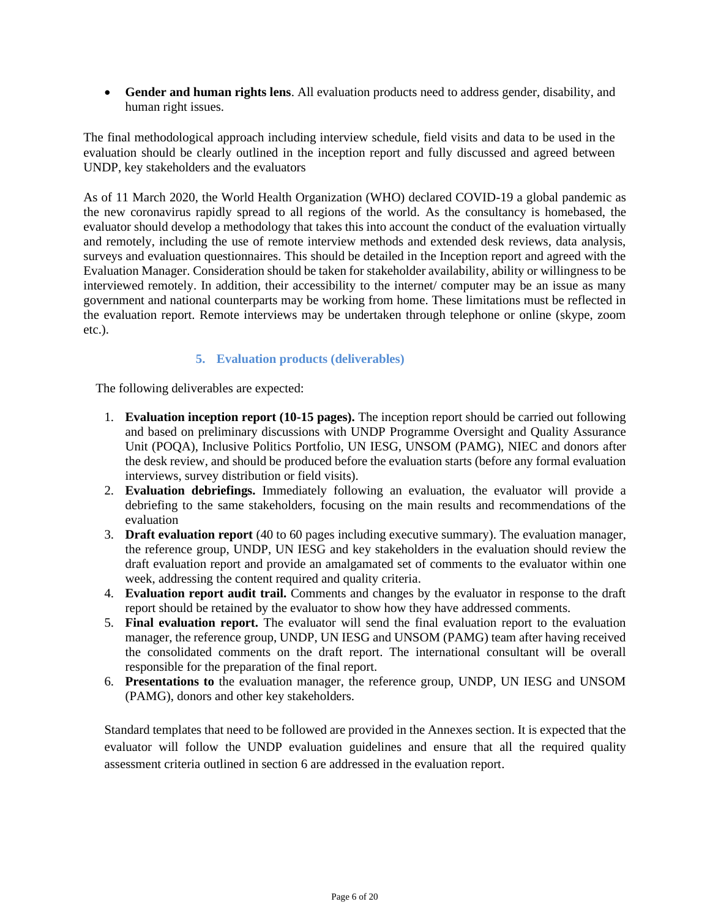• **Gender and human rights lens**. All evaluation products need to address gender, disability, and human right issues.

The final methodological approach including interview schedule, field visits and data to be used in the evaluation should be clearly outlined in the inception report and fully discussed and agreed between UNDP, key stakeholders and the evaluators

As of 11 March 2020, the World Health Organization (WHO) declared COVID-19 a global pandemic as the new coronavirus rapidly spread to all regions of the world. As the consultancy is homebased, the evaluator should develop a methodology that takes this into account the conduct of the evaluation virtually and remotely, including the use of remote interview methods and extended desk reviews, data analysis, surveys and evaluation questionnaires. This should be detailed in the Inception report and agreed with the Evaluation Manager. Consideration should be taken for stakeholder availability, ability or willingness to be interviewed remotely. In addition, their accessibility to the internet/ computer may be an issue as many government and national counterparts may be working from home. These limitations must be reflected in the evaluation report. Remote interviews may be undertaken through telephone or online (skype, zoom etc.).

### **5. Evaluation products (deliverables)**

The following deliverables are expected:

- 1. **Evaluation inception report (10-15 pages).** The inception report should be carried out following and based on preliminary discussions with UNDP Programme Oversight and Quality Assurance Unit (POQA), Inclusive Politics Portfolio, UN IESG, UNSOM (PAMG), NIEC and donors after the desk review, and should be produced before the evaluation starts (before any formal evaluation interviews, survey distribution or field visits).
- 2. **Evaluation debriefings.** Immediately following an evaluation, the evaluator will provide a debriefing to the same stakeholders, focusing on the main results and recommendations of the evaluation
- 3. **Draft evaluation report** (40 to 60 pages including executive summary). The evaluation manager, the reference group, UNDP, UN IESG and key stakeholders in the evaluation should review the draft evaluation report and provide an amalgamated set of comments to the evaluator within one week, addressing the content required and quality criteria.
- 4. **Evaluation report audit trail.** Comments and changes by the evaluator in response to the draft report should be retained by the evaluator to show how they have addressed comments.
- 5. **Final evaluation report.** The evaluator will send the final evaluation report to the evaluation manager, the reference group, UNDP, UN IESG and UNSOM (PAMG) team after having received the consolidated comments on the draft report. The international consultant will be overall responsible for the preparation of the final report.
- 6. **Presentations to** the evaluation manager, the reference group, UNDP, UN IESG and UNSOM (PAMG), donors and other key stakeholders.

Standard templates that need to be followed are provided in the Annexes section. It is expected that the evaluator will follow the UNDP evaluation guidelines and ensure that all the required quality assessment criteria outlined in section 6 are addressed in the evaluation report.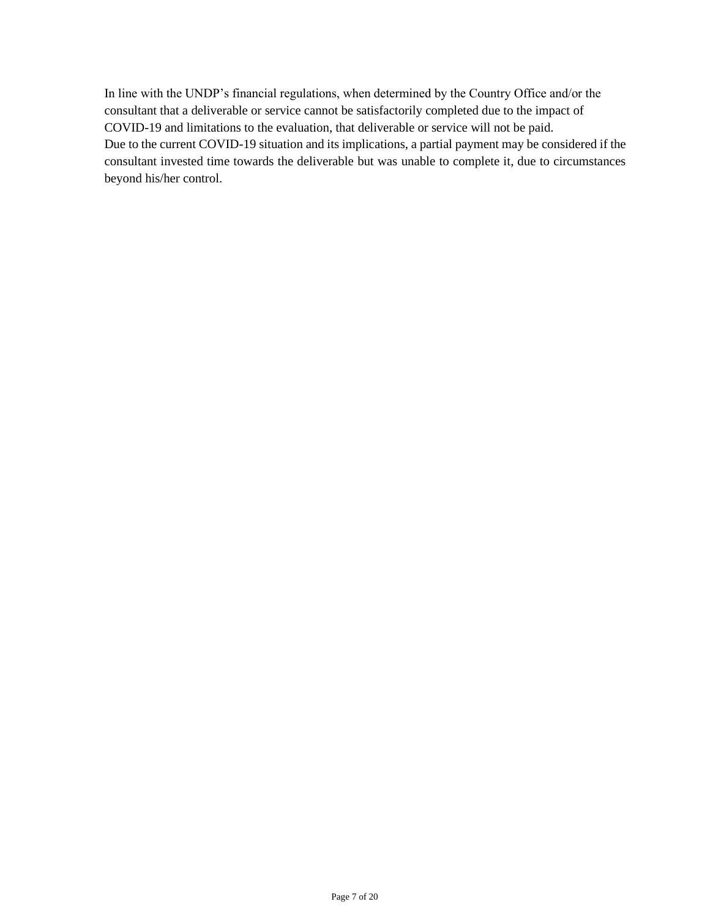In line with the UNDP's financial regulations, when determined by the Country Office and/or the consultant that a deliverable or service cannot be satisfactorily completed due to the impact of COVID-19 and limitations to the evaluation, that deliverable or service will not be paid. Due to the current COVID-19 situation and its implications, a partial payment may be considered if the consultant invested time towards the deliverable but was unable to complete it, due to circumstances beyond his/her control.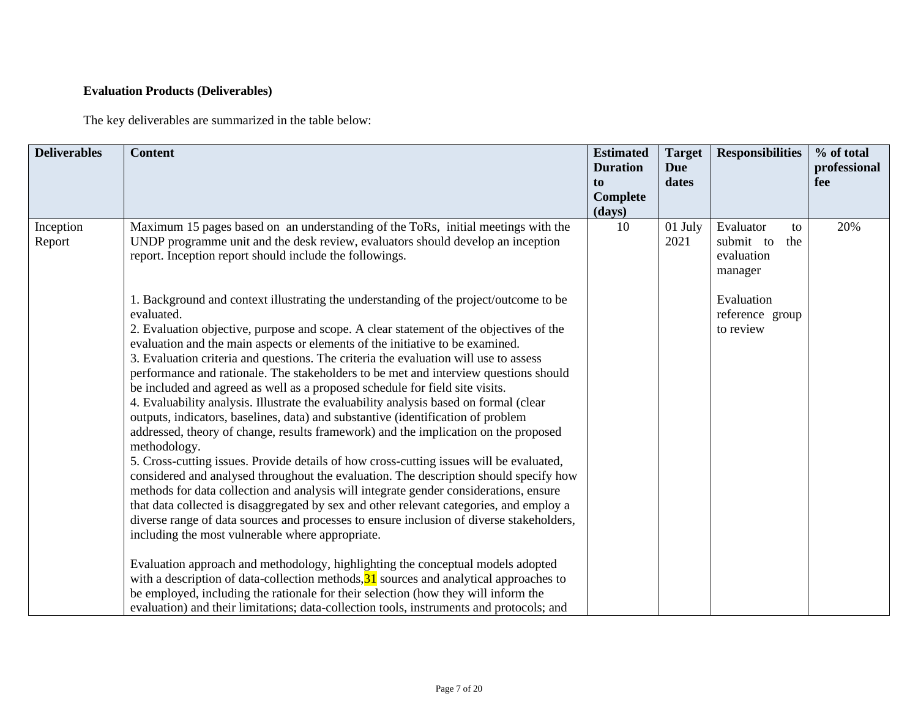# **Evaluation Products (Deliverables)**

The key deliverables are summarized in the table below:

| <b>Deliverables</b> | <b>Content</b>                                                                                                                                                                                                                                                                                                                                                                                                                                                                                                                                                                                                                                                                                                                                                                                                                                                                                                                                                                                                                                                                                                                                                                                                                                                                                                                                                                                                                                                                                                                                                                                                                                                                                                              | <b>Estimated</b><br><b>Duration</b><br>to<br>Complete<br>(days) | <b>Target</b><br>Due<br>dates | <b>Responsibilities</b>                                      | % of total<br>professional<br>fee |
|---------------------|-----------------------------------------------------------------------------------------------------------------------------------------------------------------------------------------------------------------------------------------------------------------------------------------------------------------------------------------------------------------------------------------------------------------------------------------------------------------------------------------------------------------------------------------------------------------------------------------------------------------------------------------------------------------------------------------------------------------------------------------------------------------------------------------------------------------------------------------------------------------------------------------------------------------------------------------------------------------------------------------------------------------------------------------------------------------------------------------------------------------------------------------------------------------------------------------------------------------------------------------------------------------------------------------------------------------------------------------------------------------------------------------------------------------------------------------------------------------------------------------------------------------------------------------------------------------------------------------------------------------------------------------------------------------------------------------------------------------------------|-----------------------------------------------------------------|-------------------------------|--------------------------------------------------------------|-----------------------------------|
| Inception<br>Report | Maximum 15 pages based on an understanding of the ToRs, initial meetings with the<br>UNDP programme unit and the desk review, evaluators should develop an inception<br>report. Inception report should include the followings.                                                                                                                                                                                                                                                                                                                                                                                                                                                                                                                                                                                                                                                                                                                                                                                                                                                                                                                                                                                                                                                                                                                                                                                                                                                                                                                                                                                                                                                                                             | 10                                                              | 01 July<br>2021               | Evaluator<br>to<br>submit to<br>the<br>evaluation<br>manager | 20%                               |
|                     | 1. Background and context illustrating the understanding of the project/outcome to be<br>evaluated.<br>2. Evaluation objective, purpose and scope. A clear statement of the objectives of the<br>evaluation and the main aspects or elements of the initiative to be examined.<br>3. Evaluation criteria and questions. The criteria the evaluation will use to assess<br>performance and rationale. The stakeholders to be met and interview questions should<br>be included and agreed as well as a proposed schedule for field site visits.<br>4. Evaluability analysis. Illustrate the evaluability analysis based on formal (clear<br>outputs, indicators, baselines, data) and substantive (identification of problem<br>addressed, theory of change, results framework) and the implication on the proposed<br>methodology.<br>5. Cross-cutting issues. Provide details of how cross-cutting issues will be evaluated,<br>considered and analysed throughout the evaluation. The description should specify how<br>methods for data collection and analysis will integrate gender considerations, ensure<br>that data collected is disaggregated by sex and other relevant categories, and employ a<br>diverse range of data sources and processes to ensure inclusion of diverse stakeholders,<br>including the most vulnerable where appropriate.<br>Evaluation approach and methodology, highlighting the conceptual models adopted<br>with a description of data-collection methods, $31$ sources and analytical approaches to<br>be employed, including the rationale for their selection (how they will inform the<br>evaluation) and their limitations; data-collection tools, instruments and protocols; and |                                                                 |                               | Evaluation<br>reference group<br>to review                   |                                   |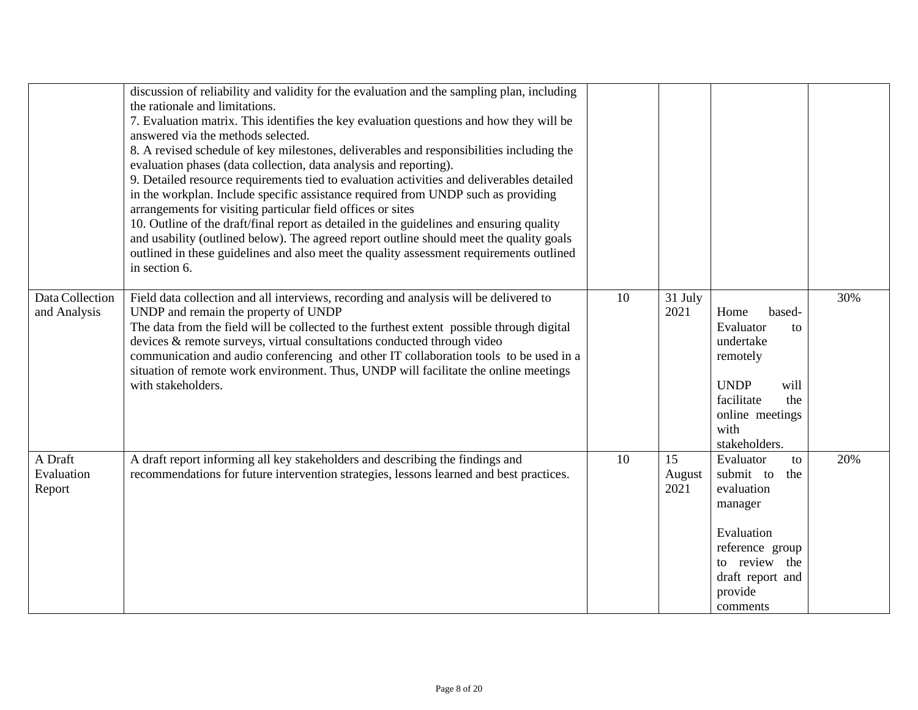|                                 | discussion of reliability and validity for the evaluation and the sampling plan, including<br>the rationale and limitations.<br>7. Evaluation matrix. This identifies the key evaluation questions and how they will be<br>answered via the methods selected.<br>8. A revised schedule of key milestones, deliverables and responsibilities including the<br>evaluation phases (data collection, data analysis and reporting).<br>9. Detailed resource requirements tied to evaluation activities and deliverables detailed<br>in the workplan. Include specific assistance required from UNDP such as providing<br>arrangements for visiting particular field offices or sites<br>10. Outline of the draft/final report as detailed in the guidelines and ensuring quality<br>and usability (outlined below). The agreed report outline should meet the quality goals<br>outlined in these guidelines and also meet the quality assessment requirements outlined<br>in section 6. |    |                      |                                                                                                                                                           |     |
|---------------------------------|------------------------------------------------------------------------------------------------------------------------------------------------------------------------------------------------------------------------------------------------------------------------------------------------------------------------------------------------------------------------------------------------------------------------------------------------------------------------------------------------------------------------------------------------------------------------------------------------------------------------------------------------------------------------------------------------------------------------------------------------------------------------------------------------------------------------------------------------------------------------------------------------------------------------------------------------------------------------------------|----|----------------------|-----------------------------------------------------------------------------------------------------------------------------------------------------------|-----|
| Data Collection<br>and Analysis | Field data collection and all interviews, recording and analysis will be delivered to<br>UNDP and remain the property of UNDP<br>The data from the field will be collected to the furthest extent possible through digital<br>devices & remote surveys, virtual consultations conducted through video<br>communication and audio conferencing and other IT collaboration tools to be used in a<br>situation of remote work environment. Thus, UNDP will facilitate the online meetings<br>with stakeholders.                                                                                                                                                                                                                                                                                                                                                                                                                                                                       | 10 | 31 July<br>2021      | Home<br>based-<br>Evaluator<br>to<br>undertake<br>remotely<br><b>UNDP</b><br>will<br>facilitate<br>the<br>online meetings<br>with<br>stakeholders.        | 30% |
| A Draft<br>Evaluation<br>Report | A draft report informing all key stakeholders and describing the findings and<br>recommendations for future intervention strategies, lessons learned and best practices.                                                                                                                                                                                                                                                                                                                                                                                                                                                                                                                                                                                                                                                                                                                                                                                                           | 10 | 15<br>August<br>2021 | Evaluator<br>to<br>submit to<br>the<br>evaluation<br>manager<br>Evaluation<br>reference group<br>to review the<br>draft report and<br>provide<br>comments | 20% |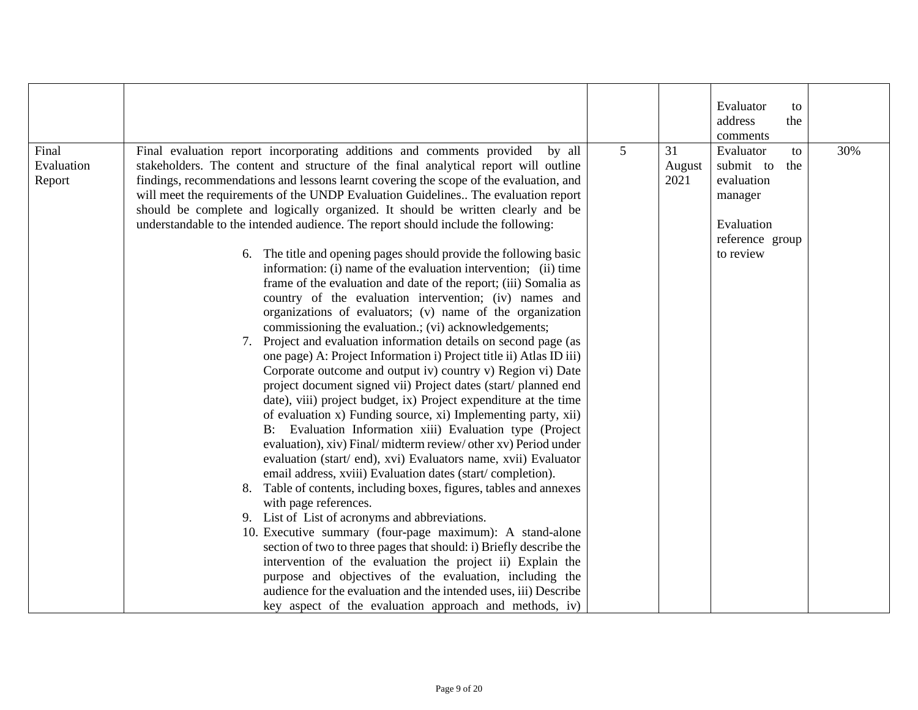|                                                                                                                                                                                                                                                                                                                                                                                                                                                                                                                                                                                                                                                                                                                                                                                                                                                                                                                                                                                                                                                                                                                                                                                                                                                                                                                                                                                                                                                                                                                                                                                                                                                                                                                                                                                                                                                                                                                                                                                                                                                                                                          |                |                      | Evaluator<br>to                                                                                            |     |
|----------------------------------------------------------------------------------------------------------------------------------------------------------------------------------------------------------------------------------------------------------------------------------------------------------------------------------------------------------------------------------------------------------------------------------------------------------------------------------------------------------------------------------------------------------------------------------------------------------------------------------------------------------------------------------------------------------------------------------------------------------------------------------------------------------------------------------------------------------------------------------------------------------------------------------------------------------------------------------------------------------------------------------------------------------------------------------------------------------------------------------------------------------------------------------------------------------------------------------------------------------------------------------------------------------------------------------------------------------------------------------------------------------------------------------------------------------------------------------------------------------------------------------------------------------------------------------------------------------------------------------------------------------------------------------------------------------------------------------------------------------------------------------------------------------------------------------------------------------------------------------------------------------------------------------------------------------------------------------------------------------------------------------------------------------------------------------------------------------|----------------|----------------------|------------------------------------------------------------------------------------------------------------|-----|
|                                                                                                                                                                                                                                                                                                                                                                                                                                                                                                                                                                                                                                                                                                                                                                                                                                                                                                                                                                                                                                                                                                                                                                                                                                                                                                                                                                                                                                                                                                                                                                                                                                                                                                                                                                                                                                                                                                                                                                                                                                                                                                          |                |                      | address<br>the                                                                                             |     |
|                                                                                                                                                                                                                                                                                                                                                                                                                                                                                                                                                                                                                                                                                                                                                                                                                                                                                                                                                                                                                                                                                                                                                                                                                                                                                                                                                                                                                                                                                                                                                                                                                                                                                                                                                                                                                                                                                                                                                                                                                                                                                                          |                |                      | comments                                                                                                   |     |
| Final evaluation report incorporating additions and comments provided<br>by all<br>Evaluation<br>stakeholders. The content and structure of the final analytical report will outline<br>findings, recommendations and lessons learnt covering the scope of the evaluation, and<br>will meet the requirements of the UNDP Evaluation Guidelines The evaluation report<br>should be complete and logically organized. It should be written clearly and be<br>understandable to the intended audience. The report should include the following:<br>6. The title and opening pages should provide the following basic<br>information: (i) name of the evaluation intervention; (ii) time<br>frame of the evaluation and date of the report; (iii) Somalia as<br>country of the evaluation intervention; (iv) names and<br>organizations of evaluators; (v) name of the organization<br>commissioning the evaluation.; (vi) acknowledgements;<br>7. Project and evaluation information details on second page (as<br>one page) A: Project Information i) Project title ii) Atlas ID iii)<br>Corporate outcome and output iv) country v) Region vi) Date<br>project document signed vii) Project dates (start/ planned end<br>date), viii) project budget, ix) Project expenditure at the time<br>of evaluation x) Funding source, xi) Implementing party, xii)<br>B: Evaluation Information xiii) Evaluation type (Project<br>evaluation), xiv) Final/midterm review/other xv) Period under<br>evaluation (start/end), xvi) Evaluators name, xvii) Evaluator<br>email address, xviii) Evaluation dates (start/completion).<br>Table of contents, including boxes, figures, tables and annexes<br>8.<br>with page references.<br>9. List of List of acronyms and abbreviations.<br>10. Executive summary (four-page maximum): A stand-alone<br>section of two to three pages that should: i) Briefly describe the<br>intervention of the evaluation the project ii) Explain the<br>purpose and objectives of the evaluation, including the<br>audience for the evaluation and the intended uses, iii) Describe | $\overline{5}$ | 31<br>August<br>2021 | Evaluator<br>to<br>submit to<br>the<br>evaluation<br>manager<br>Evaluation<br>reference group<br>to review | 30% |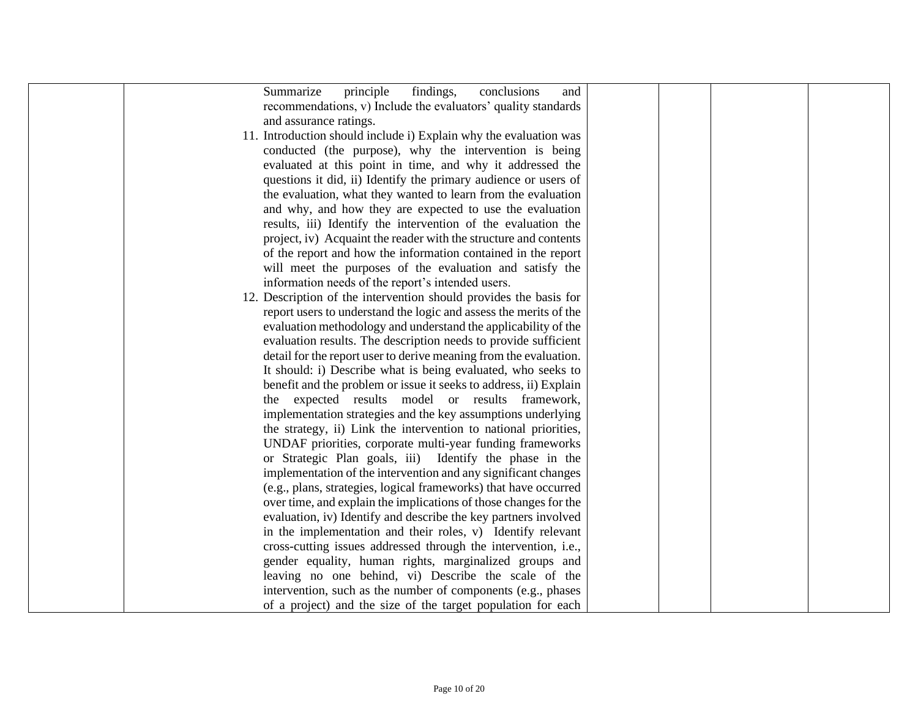| Summarize<br>principle<br>findings,<br>conclusions<br>and         |  |  |
|-------------------------------------------------------------------|--|--|
| recommendations, v) Include the evaluators' quality standards     |  |  |
| and assurance ratings.                                            |  |  |
| 11. Introduction should include i) Explain why the evaluation was |  |  |
| conducted (the purpose), why the intervention is being            |  |  |
| evaluated at this point in time, and why it addressed the         |  |  |
| questions it did, ii) Identify the primary audience or users of   |  |  |
| the evaluation, what they wanted to learn from the evaluation     |  |  |
| and why, and how they are expected to use the evaluation          |  |  |
| results, iii) Identify the intervention of the evaluation the     |  |  |
| project, iv) Acquaint the reader with the structure and contents  |  |  |
| of the report and how the information contained in the report     |  |  |
| will meet the purposes of the evaluation and satisfy the          |  |  |
| information needs of the report's intended users.                 |  |  |
| 12. Description of the intervention should provides the basis for |  |  |
|                                                                   |  |  |
| report users to understand the logic and assess the merits of the |  |  |
| evaluation methodology and understand the applicability of the    |  |  |
| evaluation results. The description needs to provide sufficient   |  |  |
| detail for the report user to derive meaning from the evaluation. |  |  |
| It should: i) Describe what is being evaluated, who seeks to      |  |  |
| benefit and the problem or issue it seeks to address, ii) Explain |  |  |
| the expected results model or results framework,                  |  |  |
| implementation strategies and the key assumptions underlying      |  |  |
| the strategy, ii) Link the intervention to national priorities,   |  |  |
| UNDAF priorities, corporate multi-year funding frameworks         |  |  |
| or Strategic Plan goals, iii) Identify the phase in the           |  |  |
| implementation of the intervention and any significant changes    |  |  |
| (e.g., plans, strategies, logical frameworks) that have occurred  |  |  |
| over time, and explain the implications of those changes for the  |  |  |
| evaluation, iv) Identify and describe the key partners involved   |  |  |
| in the implementation and their roles, v) Identify relevant       |  |  |
| cross-cutting issues addressed through the intervention, i.e.,    |  |  |
| gender equality, human rights, marginalized groups and            |  |  |
| leaving no one behind, vi) Describe the scale of the              |  |  |
| intervention, such as the number of components (e.g., phases      |  |  |
| of a project) and the size of the target population for each      |  |  |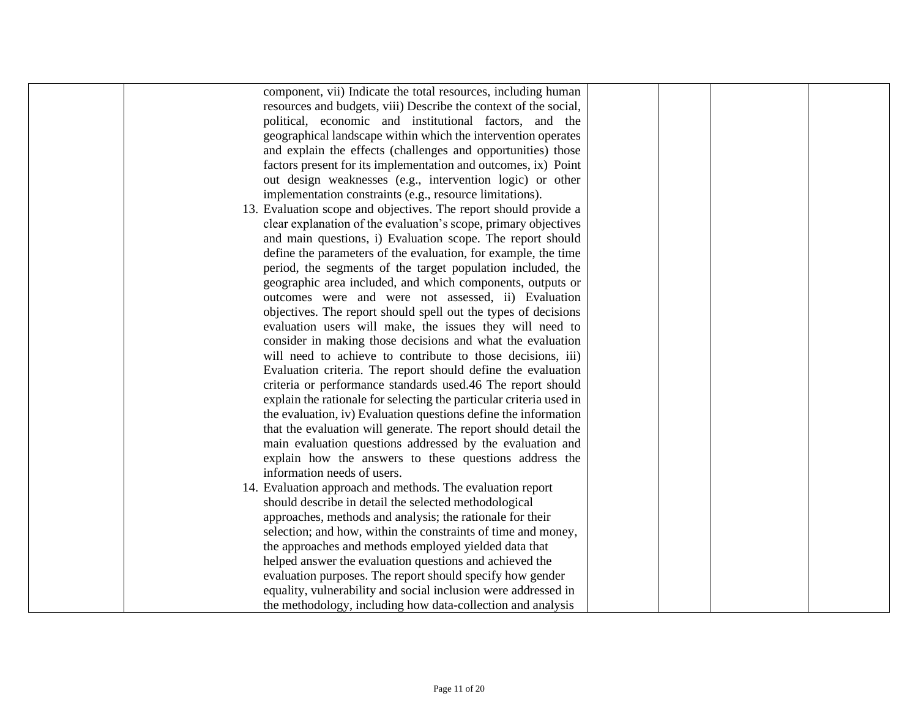| component, vii) Indicate the total resources, including human       |  |  |
|---------------------------------------------------------------------|--|--|
| resources and budgets, viii) Describe the context of the social,    |  |  |
| political, economic and institutional factors, and the              |  |  |
| geographical landscape within which the intervention operates       |  |  |
| and explain the effects (challenges and opportunities) those        |  |  |
| factors present for its implementation and outcomes, ix) Point      |  |  |
| out design weaknesses (e.g., intervention logic) or other           |  |  |
| implementation constraints (e.g., resource limitations).            |  |  |
| 13. Evaluation scope and objectives. The report should provide a    |  |  |
| clear explanation of the evaluation's scope, primary objectives     |  |  |
| and main questions, i) Evaluation scope. The report should          |  |  |
| define the parameters of the evaluation, for example, the time      |  |  |
| period, the segments of the target population included, the         |  |  |
| geographic area included, and which components, outputs or          |  |  |
| outcomes were and were not assessed, ii) Evaluation                 |  |  |
| objectives. The report should spell out the types of decisions      |  |  |
| evaluation users will make, the issues they will need to            |  |  |
| consider in making those decisions and what the evaluation          |  |  |
| will need to achieve to contribute to those decisions, iii)         |  |  |
| Evaluation criteria. The report should define the evaluation        |  |  |
| criteria or performance standards used.46 The report should         |  |  |
| explain the rationale for selecting the particular criteria used in |  |  |
| the evaluation, iv) Evaluation questions define the information     |  |  |
| that the evaluation will generate. The report should detail the     |  |  |
|                                                                     |  |  |
| main evaluation questions addressed by the evaluation and           |  |  |
| explain how the answers to these questions address the              |  |  |
| information needs of users.                                         |  |  |
| 14. Evaluation approach and methods. The evaluation report          |  |  |
| should describe in detail the selected methodological               |  |  |
| approaches, methods and analysis; the rationale for their           |  |  |
| selection; and how, within the constraints of time and money,       |  |  |
| the approaches and methods employed yielded data that               |  |  |
| helped answer the evaluation questions and achieved the             |  |  |
| evaluation purposes. The report should specify how gender           |  |  |
| equality, vulnerability and social inclusion were addressed in      |  |  |
| the methodology, including how data-collection and analysis         |  |  |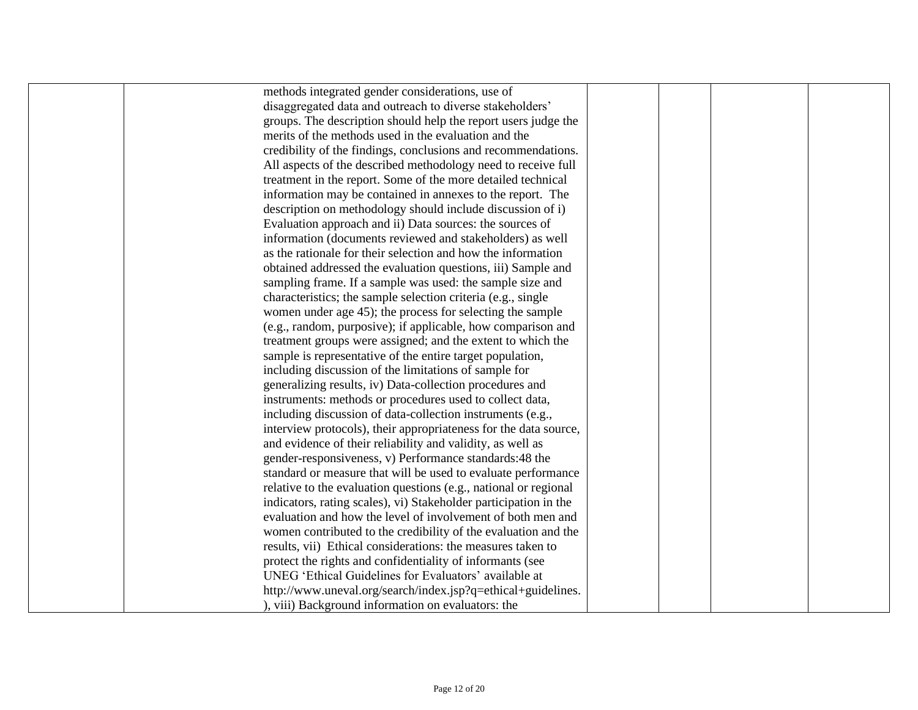| methods integrated gender considerations, use of                 |  |  |
|------------------------------------------------------------------|--|--|
| disaggregated data and outreach to diverse stakeholders'         |  |  |
| groups. The description should help the report users judge the   |  |  |
| merits of the methods used in the evaluation and the             |  |  |
| credibility of the findings, conclusions and recommendations.    |  |  |
| All aspects of the described methodology need to receive full    |  |  |
| treatment in the report. Some of the more detailed technical     |  |  |
| information may be contained in annexes to the report. The       |  |  |
| description on methodology should include discussion of i)       |  |  |
| Evaluation approach and ii) Data sources: the sources of         |  |  |
| information (documents reviewed and stakeholders) as well        |  |  |
| as the rationale for their selection and how the information     |  |  |
| obtained addressed the evaluation questions, iii) Sample and     |  |  |
| sampling frame. If a sample was used: the sample size and        |  |  |
| characteristics; the sample selection criteria (e.g., single     |  |  |
| women under age 45); the process for selecting the sample        |  |  |
| (e.g., random, purposive); if applicable, how comparison and     |  |  |
| treatment groups were assigned; and the extent to which the      |  |  |
| sample is representative of the entire target population,        |  |  |
| including discussion of the limitations of sample for            |  |  |
| generalizing results, iv) Data-collection procedures and         |  |  |
| instruments: methods or procedures used to collect data,         |  |  |
| including discussion of data-collection instruments (e.g.,       |  |  |
| interview protocols), their appropriateness for the data source, |  |  |
| and evidence of their reliability and validity, as well as       |  |  |
| gender-responsiveness, v) Performance standards:48 the           |  |  |
| standard or measure that will be used to evaluate performance    |  |  |
| relative to the evaluation questions (e.g., national or regional |  |  |
| indicators, rating scales), vi) Stakeholder participation in the |  |  |
| evaluation and how the level of involvement of both men and      |  |  |
| women contributed to the credibility of the evaluation and the   |  |  |
| results, vii) Ethical considerations: the measures taken to      |  |  |
| protect the rights and confidentiality of informants (see        |  |  |
| UNEG 'Ethical Guidelines for Evaluators' available at            |  |  |
| http://www.uneval.org/search/index.jsp?q=ethical+guidelines.     |  |  |
| ), viii) Background information on evaluators: the               |  |  |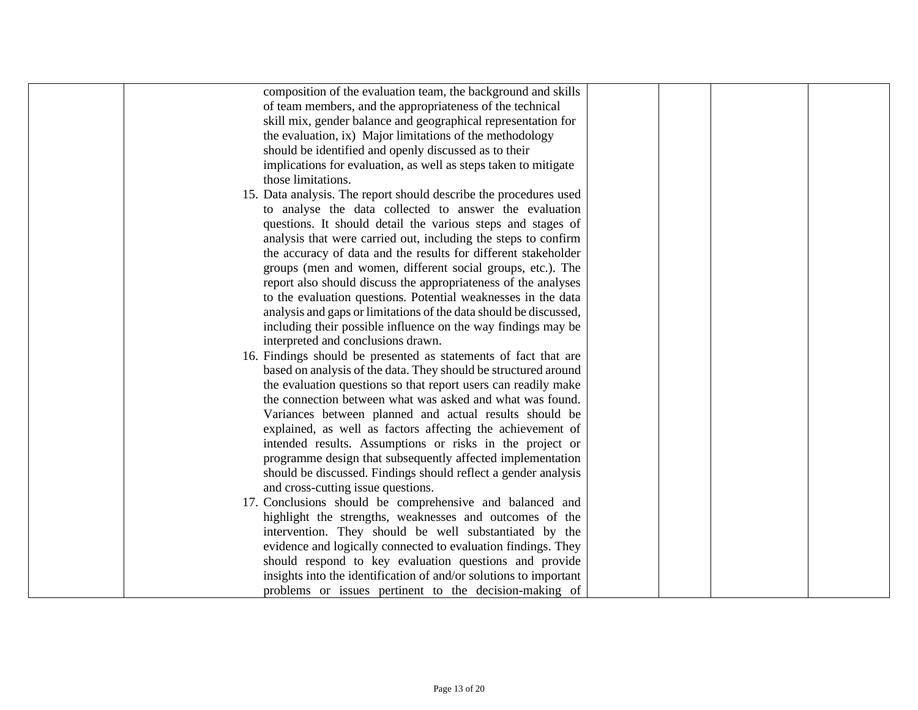| composition of the evaluation team, the background and skills     |  |  |
|-------------------------------------------------------------------|--|--|
| of team members, and the appropriateness of the technical         |  |  |
| skill mix, gender balance and geographical representation for     |  |  |
| the evaluation, ix) Major limitations of the methodology          |  |  |
| should be identified and openly discussed as to their             |  |  |
| implications for evaluation, as well as steps taken to mitigate   |  |  |
| those limitations.                                                |  |  |
| 15. Data analysis. The report should describe the procedures used |  |  |
| to analyse the data collected to answer the evaluation            |  |  |
| questions. It should detail the various steps and stages of       |  |  |
| analysis that were carried out, including the steps to confirm    |  |  |
| the accuracy of data and the results for different stakeholder    |  |  |
| groups (men and women, different social groups, etc.). The        |  |  |
| report also should discuss the appropriateness of the analyses    |  |  |
| to the evaluation questions. Potential weaknesses in the data     |  |  |
| analysis and gaps or limitations of the data should be discussed, |  |  |
| including their possible influence on the way findings may be     |  |  |
| interpreted and conclusions drawn.                                |  |  |
| 16. Findings should be presented as statements of fact that are   |  |  |
| based on analysis of the data. They should be structured around   |  |  |
| the evaluation questions so that report users can readily make    |  |  |
| the connection between what was asked and what was found.         |  |  |
| Variances between planned and actual results should be            |  |  |
| explained, as well as factors affecting the achievement of        |  |  |
| intended results. Assumptions or risks in the project or          |  |  |
| programme design that subsequently affected implementation        |  |  |
| should be discussed. Findings should reflect a gender analysis    |  |  |
| and cross-cutting issue questions.                                |  |  |
| 17. Conclusions should be comprehensive and balanced and          |  |  |
| highlight the strengths, weaknesses and outcomes of the           |  |  |
| intervention. They should be well substantiated by the            |  |  |
| evidence and logically connected to evaluation findings. They     |  |  |
| should respond to key evaluation questions and provide            |  |  |
| insights into the identification of and/or solutions to important |  |  |
| problems or issues pertinent to the decision-making of            |  |  |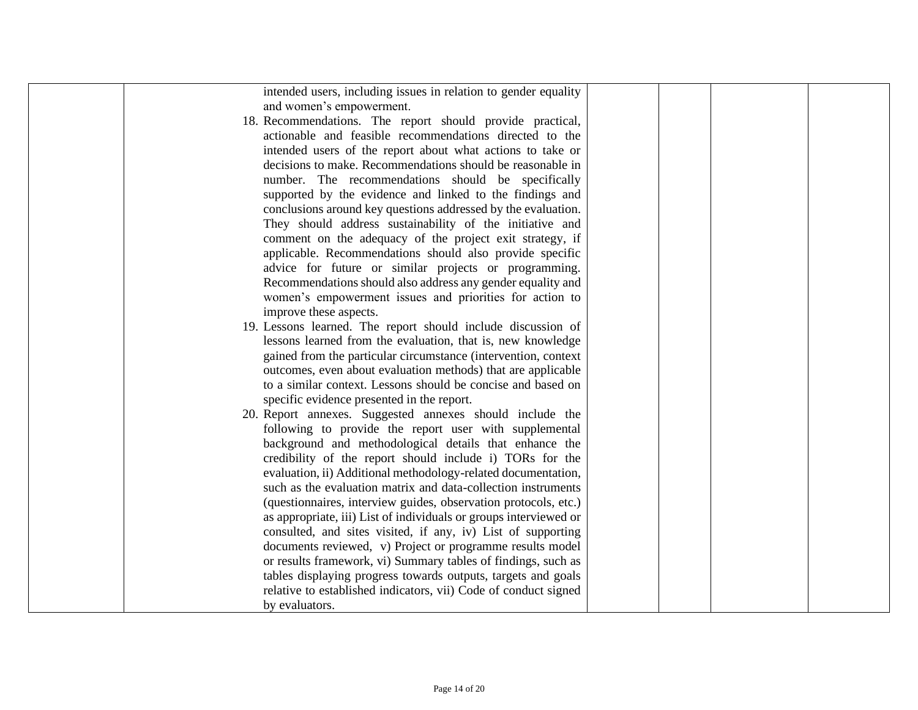| intended users, including issues in relation to gender equality   |  |  |
|-------------------------------------------------------------------|--|--|
| and women's empowerment.                                          |  |  |
| 18. Recommendations. The report should provide practical,         |  |  |
| actionable and feasible recommendations directed to the           |  |  |
| intended users of the report about what actions to take or        |  |  |
| decisions to make. Recommendations should be reasonable in        |  |  |
| number. The recommendations should be specifically                |  |  |
| supported by the evidence and linked to the findings and          |  |  |
| conclusions around key questions addressed by the evaluation.     |  |  |
| They should address sustainability of the initiative and          |  |  |
| comment on the adequacy of the project exit strategy, if          |  |  |
| applicable. Recommendations should also provide specific          |  |  |
| advice for future or similar projects or programming.             |  |  |
| Recommendations should also address any gender equality and       |  |  |
| women's empowerment issues and priorities for action to           |  |  |
| improve these aspects.                                            |  |  |
| 19. Lessons learned. The report should include discussion of      |  |  |
| lessons learned from the evaluation, that is, new knowledge       |  |  |
| gained from the particular circumstance (intervention, context    |  |  |
| outcomes, even about evaluation methods) that are applicable      |  |  |
| to a similar context. Lessons should be concise and based on      |  |  |
| specific evidence presented in the report.                        |  |  |
| 20. Report annexes. Suggested annexes should include the          |  |  |
| following to provide the report user with supplemental            |  |  |
| background and methodological details that enhance the            |  |  |
| credibility of the report should include i) TORs for the          |  |  |
| evaluation, ii) Additional methodology-related documentation,     |  |  |
| such as the evaluation matrix and data-collection instruments     |  |  |
| (questionnaires, interview guides, observation protocols, etc.)   |  |  |
| as appropriate, iii) List of individuals or groups interviewed or |  |  |
| consulted, and sites visited, if any, iv) List of supporting      |  |  |
| documents reviewed, v) Project or programme results model         |  |  |
| or results framework, vi) Summary tables of findings, such as     |  |  |
| tables displaying progress towards outputs, targets and goals     |  |  |
| relative to established indicators, vii) Code of conduct signed   |  |  |
| by evaluators.                                                    |  |  |
|                                                                   |  |  |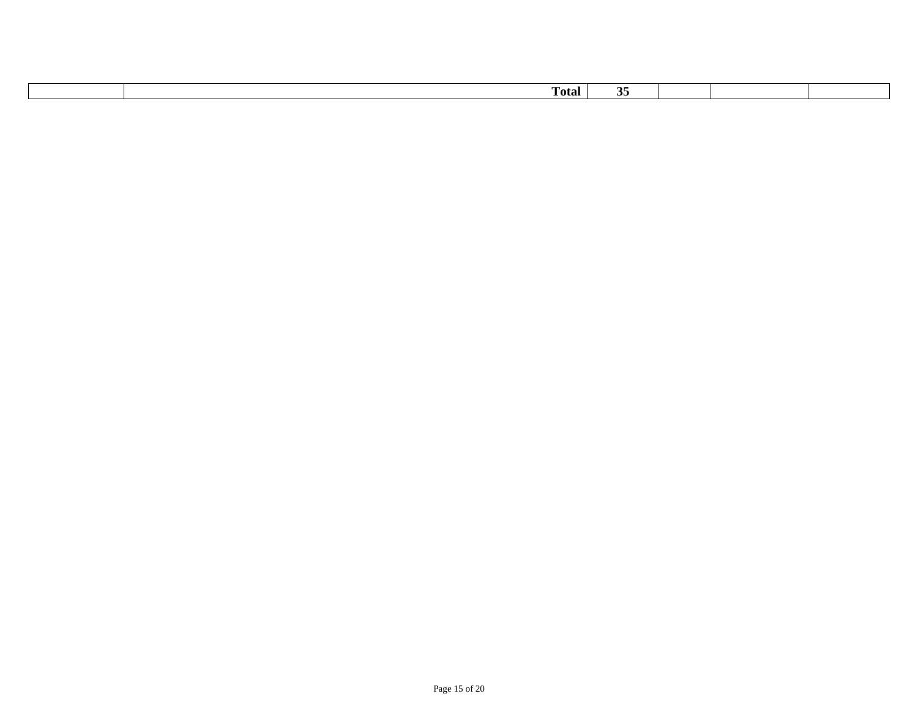| <b>Total</b> | ັ |  |  |
|--------------|---|--|--|
|              |   |  |  |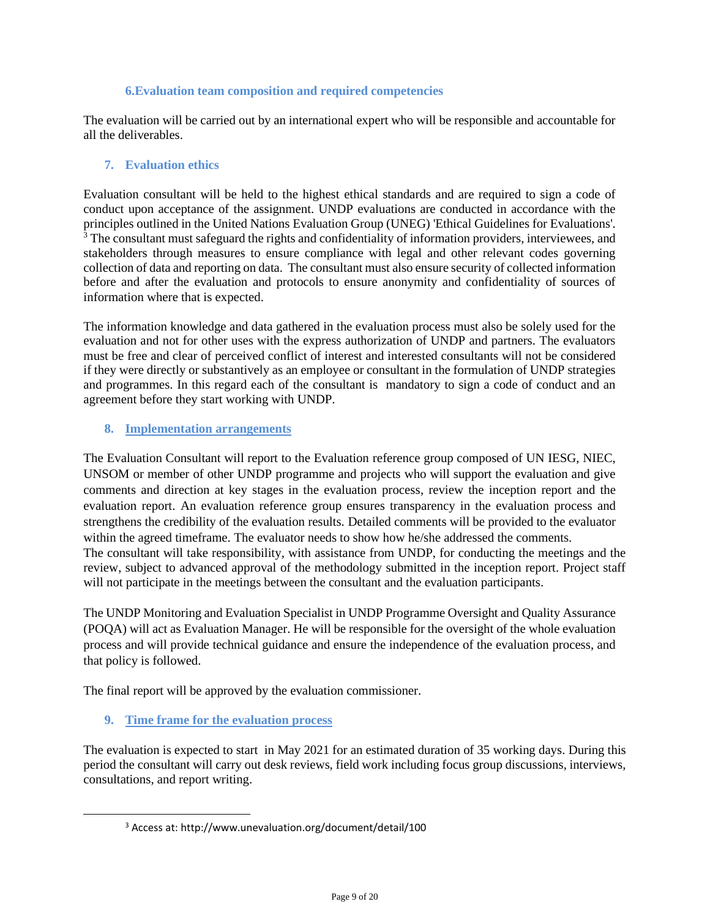#### **6.Evaluation team composition and required competencies**

The evaluation will be carried out by an international expert who will be responsible and accountable for all the deliverables.

### **7. Evaluation ethics**

Evaluation consultant will be held to the highest ethical standards and are required to sign a code of conduct upon acceptance of the assignment. UNDP evaluations are conducted in accordance with the principles outlined in the United Nations Evaluation Group (UNEG) 'Ethical Guidelines for Evaluations'.  $3$  The consultant must safeguard the rights and confidentiality of information providers, interviewees, and stakeholders through measures to ensure compliance with legal and other relevant codes governing collection of data and reporting on data. The consultant must also ensure security of collected information before and after the evaluation and protocols to ensure anonymity and confidentiality of sources of information where that is expected.

The information knowledge and data gathered in the evaluation process must also be solely used for the evaluation and not for other uses with the express authorization of UNDP and partners. The evaluators must be free and clear of perceived conflict of interest and interested consultants will not be considered if they were directly or substantively as an employee or consultant in the formulation of UNDP strategies and programmes. In this regard each of the consultant is mandatory to sign a code of conduct and an agreement before they start working with UNDP.

#### **8. Implementation arrangements**

The Evaluation Consultant will report to the Evaluation reference group composed of UN IESG, NIEC, UNSOM or member of other UNDP programme and projects who will support the evaluation and give comments and direction at key stages in the evaluation process, review the inception report and the evaluation report. An evaluation reference group ensures transparency in the evaluation process and strengthens the credibility of the evaluation results. Detailed comments will be provided to the evaluator within the agreed timeframe. The evaluator needs to show how he/she addressed the comments. The consultant will take responsibility, with assistance from UNDP, for conducting the meetings and the review, subject to advanced approval of the methodology submitted in the inception report. Project staff will not participate in the meetings between the consultant and the evaluation participants.

The UNDP Monitoring and Evaluation Specialist in UNDP Programme Oversight and Quality Assurance (POQA) will act as Evaluation Manager. He will be responsible for the oversight of the whole evaluation process and will provide technical guidance and ensure the independence of the evaluation process, and that policy is followed.

The final report will be approved by the evaluation commissioner.

**9. Time frame for the evaluation process**

The evaluation is expected to start in May 2021 for an estimated duration of 35 working days. During this period the consultant will carry out desk reviews, field work including focus group discussions, interviews, consultations, and report writing.

<sup>3</sup> Access at: http://www.unevaluation.org/document/detail/100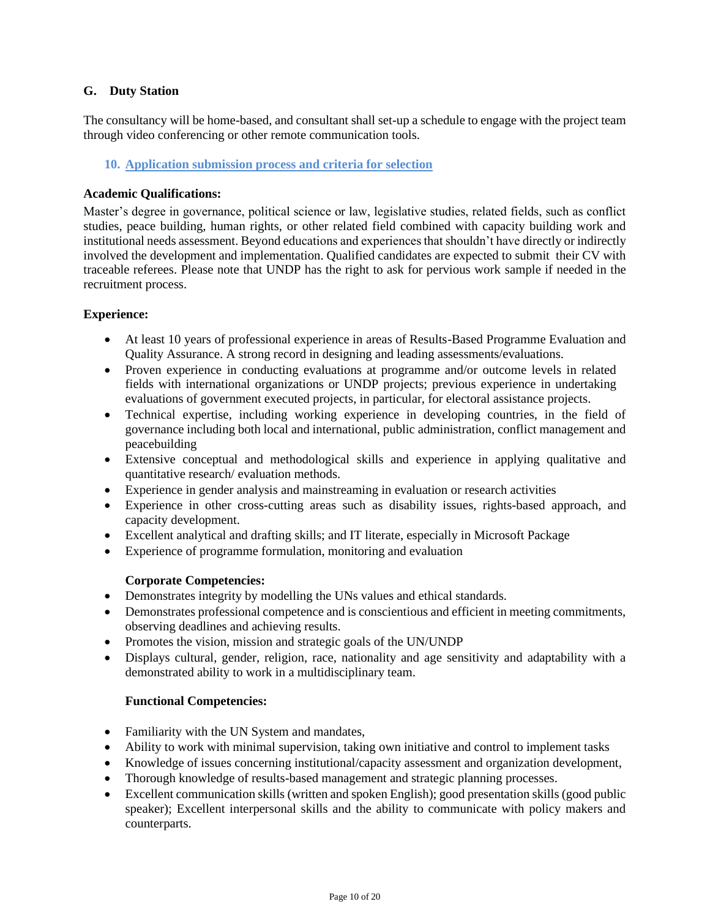## **G. Duty Station**

The consultancy will be home-based, and consultant shall set-up a schedule to engage with the project team through video conferencing or other remote communication tools.

### **10. Application submission process and criteria for selection**

## **Academic Qualifications:**

Master's degree in governance, political science or law, legislative studies, related fields, such as conflict studies, peace building, human rights, or other related field combined with capacity building work and institutional needs assessment. Beyond educations and experiences that shouldn't have directly or indirectly involved the development and implementation. Qualified candidates are expected to submit their CV with traceable referees. Please note that UNDP has the right to ask for pervious work sample if needed in the recruitment process.

## **Experience:**

- At least 10 years of professional experience in areas of Results-Based Programme Evaluation and Quality Assurance. A strong record in designing and leading assessments/evaluations.
- Proven experience in conducting evaluations at programme and/or outcome levels in related fields with international organizations or UNDP projects; previous experience in undertaking evaluations of government executed projects, in particular, for electoral assistance projects.
- Technical expertise, including working experience in developing countries, in the field of governance including both local and international, public administration, conflict management and peacebuilding
- Extensive conceptual and methodological skills and experience in applying qualitative and quantitative research/ evaluation methods.
- Experience in gender analysis and mainstreaming in evaluation or research activities
- Experience in other cross-cutting areas such as disability issues, rights-based approach, and capacity development.
- Excellent analytical and drafting skills; and IT literate, especially in Microsoft Package
- Experience of programme formulation, monitoring and evaluation

### **Corporate Competencies:**

- Demonstrates integrity by modelling the UNs values and ethical standards.
- Demonstrates professional competence and is conscientious and efficient in meeting commitments, observing deadlines and achieving results.
- Promotes the vision, mission and strategic goals of the UN/UNDP
- Displays cultural, gender, religion, race, nationality and age sensitivity and adaptability with a demonstrated ability to work in a multidisciplinary team.

### **Functional Competencies:**

- Familiarity with the UN System and mandates,
- Ability to work with minimal supervision, taking own initiative and control to implement tasks
- Knowledge of issues concerning institutional/capacity assessment and organization development,
- Thorough knowledge of results-based management and strategic planning processes.
- Excellent communication skills (written and spoken English); good presentation skills (good public speaker); Excellent interpersonal skills and the ability to communicate with policy makers and counterparts.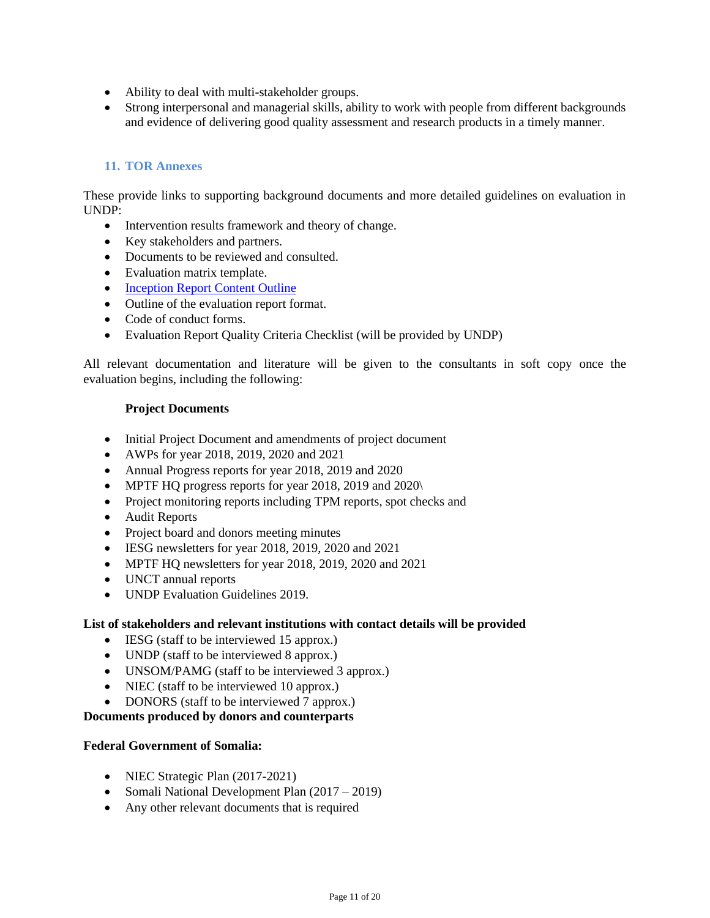- Ability to deal with multi-stakeholder groups.
- Strong interpersonal and managerial skills, ability to work with people from different backgrounds and evidence of delivering good quality assessment and research products in a timely manner.

## **11. TOR Annexes**

These provide links to supporting background documents and more detailed guidelines on evaluation in UNDP:

- Intervention results framework and theory of change.
- Key stakeholders and partners.
- Documents to be reviewed and consulted.
- Evaluation matrix template.
- [Inception Report Content Outline](http://web.undp.org/evaluation/guideline/documents/Template/section-4/Sec%204%20Template%204%20Evaluation%20Inception%20report%20content%20outline.docx)
- Outline of the evaluation report format.
- Code of conduct forms.
- Evaluation Report Quality Criteria Checklist (will be provided by UNDP)

All relevant documentation and literature will be given to the consultants in soft copy once the evaluation begins, including the following:

### **Project Documents**

- Initial Project Document and amendments of project document
- AWPs for year 2018, 2019, 2020 and 2021
- Annual Progress reports for year 2018, 2019 and 2020
- MPTF HQ progress reports for year 2018, 2019 and 2020\
- Project monitoring reports including TPM reports, spot checks and
- Audit Reports
- Project board and donors meeting minutes
- IESG newsletters for year 2018, 2019, 2020 and 2021
- MPTF HQ newsletters for year 2018, 2019, 2020 and 2021
- UNCT annual reports
- UNDP Evaluation Guidelines 2019.

#### **List of stakeholders and relevant institutions with contact details will be provided**

- IESG (staff to be interviewed 15 approx.)
- UNDP (staff to be interviewed 8 approx.)
- UNSOM/PAMG (staff to be interviewed 3 approx.)
- NIEC (staff to be interviewed 10 approx.)
- DONORS (staff to be interviewed 7 approx.)

### **Documents produced by donors and counterparts**

#### **Federal Government of Somalia:**

- NIEC Strategic Plan (2017-2021)
- Somali National Development Plan (2017 2019)
- Any other relevant documents that is required